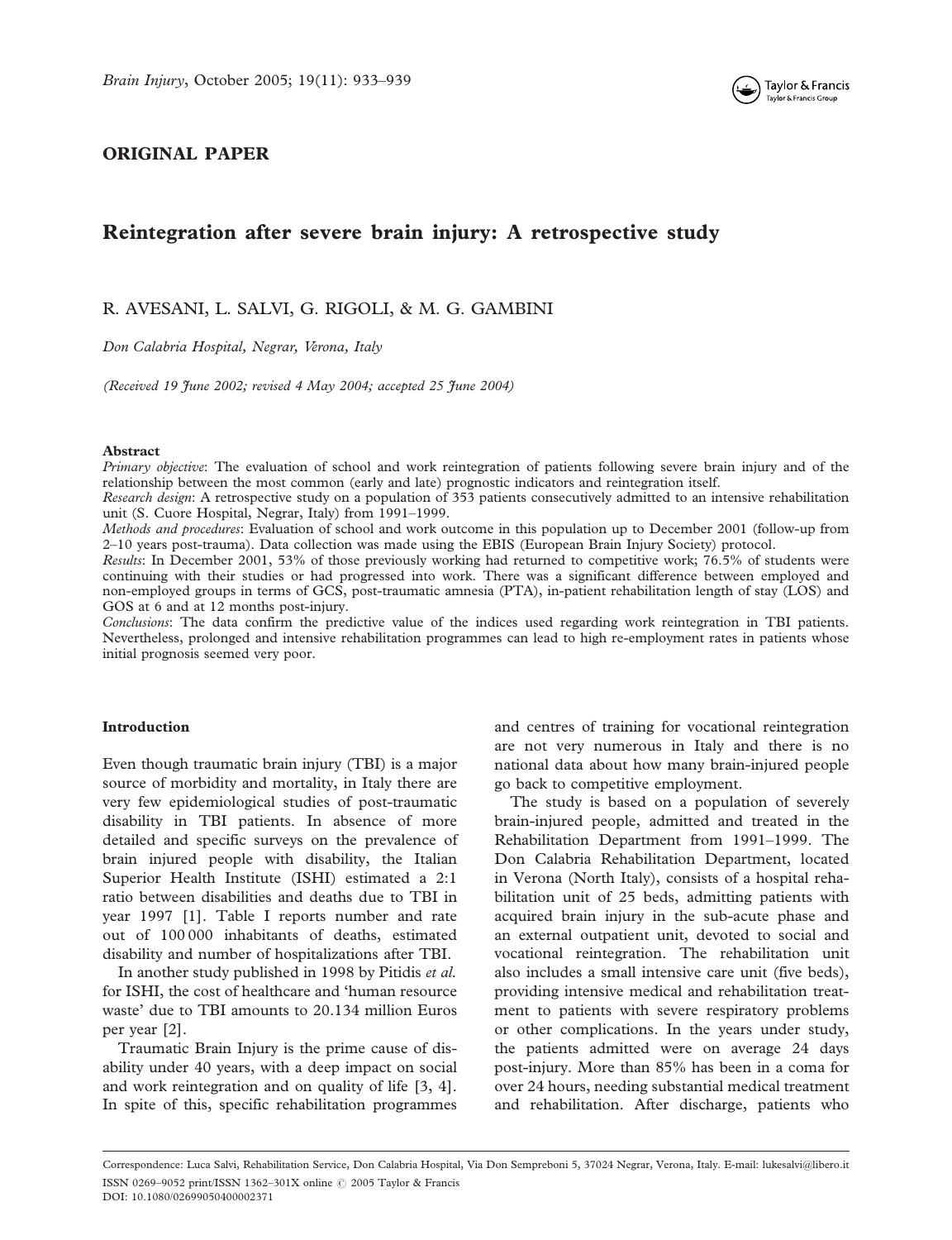

## ORIGINAL PAPER

# Reintegration after severe brain injury: A retrospective study

### R. AVESANI, L. SALVI, G. RIGOLI, & M. G. GAMBINI

Don Calabria Hospital, Negrar, Verona, Italy

(Received 19 June 2002; revised 4 May 2004; accepted 25 June 2004)

#### Abstract

Primary objective: The evaluation of school and work reintegration of patients following severe brain injury and of the relationship between the most common (early and late) prognostic indicators and reintegration itself.

Research design: A retrospective study on a population of 353 patients consecutively admitted to an intensive rehabilitation unit (S. Cuore Hospital, Negrar, Italy) from 1991–1999.

Methods and procedures: Evaluation of school and work outcome in this population up to December 2001 (follow-up from 2–10 years post-trauma). Data collection was made using the EBIS (European Brain Injury Society) protocol.

Results: In December 2001, 53% of those previously working had returned to competitive work; 76.5% of students were continuing with their studies or had progressed into work. There was a significant difference between employed and non-employed groups in terms of GCS, post-traumatic amnesia (PTA), in-patient rehabilitation length of stay (LOS) and GOS at 6 and at 12 months post-injury.

Conclusions: The data confirm the predictive value of the indices used regarding work reintegration in TBI patients. Nevertheless, prolonged and intensive rehabilitation programmes can lead to high re-employment rates in patients whose initial prognosis seemed very poor.

#### Introduction

Even though traumatic brain injury (TBI) is a major source of morbidity and mortality, in Italy there are very few epidemiological studies of post-traumatic disability in TBI patients. In absence of more detailed and specific surveys on the prevalence of brain injured people with disability, the Italian Superior Health Institute (ISHI) estimated a 2:1 ratio between disabilities and deaths due to TBI in year 1997 [1]. Table I reports number and rate out of 100 000 inhabitants of deaths, estimated disability and number of hospitalizations after TBI.

In another study published in 1998 by Pitidis et al. for ISHI, the cost of healthcare and 'human resource waste' due to TBI amounts to 20.134 million Euros per year [2].

Traumatic Brain Injury is the prime cause of disability under 40 years, with a deep impact on social and work reintegration and on quality of life [3, 4]. In spite of this, specific rehabilitation programmes and centres of training for vocational reintegration are not very numerous in Italy and there is no national data about how many brain-injured people go back to competitive employment.

The study is based on a population of severely brain-injured people, admitted and treated in the Rehabilitation Department from 1991–1999. The Don Calabria Rehabilitation Department, located in Verona (North Italy), consists of a hospital rehabilitation unit of 25 beds, admitting patients with acquired brain injury in the sub-acute phase and an external outpatient unit, devoted to social and vocational reintegration. The rehabilitation unit also includes a small intensive care unit (five beds), providing intensive medical and rehabilitation treatment to patients with severe respiratory problems or other complications. In the years under study, the patients admitted were on average 24 days post-injury. More than 85% has been in a coma for over 24 hours, needing substantial medical treatment and rehabilitation. After discharge, patients who

Correspondence: Luca Salvi, Rehabilitation Service, Don Calabria Hospital, Via Don Sempreboni 5, 37024 Negrar, Verona, Italy. E-mail: lukesalvi@libero.it ISSN 0269-9052 print/ISSN 1362-301X online  $\oslash$  2005 Taylor & Francis DOI: 10.1080/02699050400002371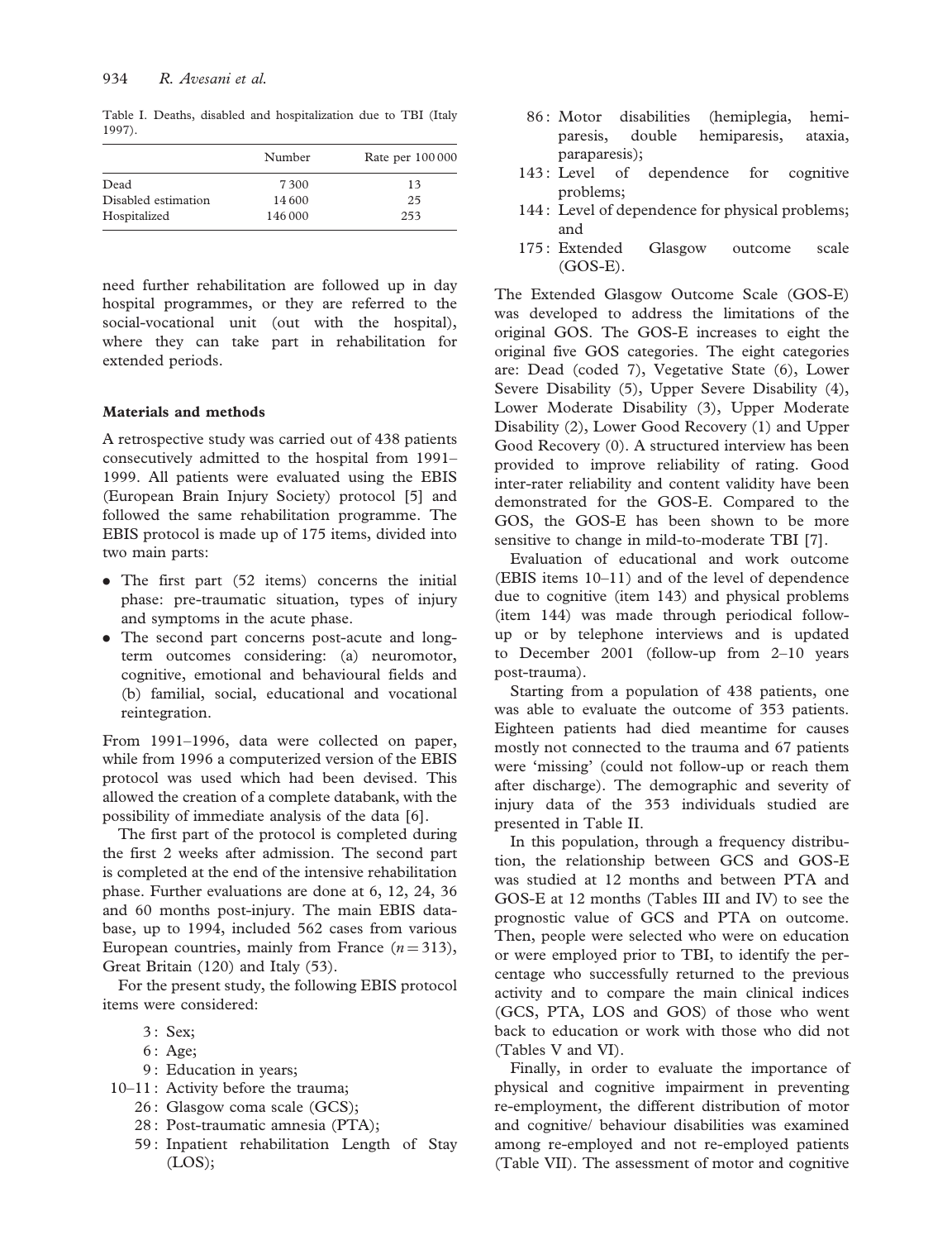Table I. Deaths, disabled and hospitalization due to TBI (Italy 1997).

|                     | Number  | Rate per 100 000 |
|---------------------|---------|------------------|
| Dead                | 7300    | 13               |
| Disabled estimation | 14 600  | 25               |
| Hospitalized        | 146 000 | 253              |

need further rehabilitation are followed up in day hospital programmes, or they are referred to the social-vocational unit (out with the hospital), where they can take part in rehabilitation for extended periods.

#### Materials and methods

A retrospective study was carried out of 438 patients consecutively admitted to the hospital from 1991– 1999. All patients were evaluated using the EBIS (European Brain Injury Society) protocol [5] and followed the same rehabilitation programme. The EBIS protocol is made up of 175 items, divided into two main parts:

- . The first part (52 items) concerns the initial phase: pre-traumatic situation, types of injury and symptoms in the acute phase.
- . The second part concerns post-acute and longterm outcomes considering: (a) neuromotor, cognitive, emotional and behavioural fields and (b) familial, social, educational and vocational reintegration.

From 1991–1996, data were collected on paper, while from 1996 a computerized version of the EBIS protocol was used which had been devised. This allowed the creation of a complete databank, with the possibility of immediate analysis of the data [6].

The first part of the protocol is completed during the first 2 weeks after admission. The second part is completed at the end of the intensive rehabilitation phase. Further evaluations are done at 6, 12, 24, 36 and 60 months post-injury. The main EBIS database, up to 1994, included 562 cases from various European countries, mainly from France  $(n = 313)$ , Great Britain (120) and Italy (53).

For the present study, the following EBIS protocol items were considered:

- 6 : Age;
- 9 : Education in years;
- 10–11 : Activity before the trauma;
	- 26 : Glasgow coma scale (GCS);
	- 28 : Post-traumatic amnesia (PTA);
	- 59 : Inpatient rehabilitation Length of Stay (LOS);
- 86 : Motor disabilities (hemiplegia, hemiparesis, double hemiparesis, ataxia, paraparesis);
- 143 : Level of dependence for cognitive problems;
- 144 : Level of dependence for physical problems; and
- 175 : Extended Glasgow outcome scale (GOS-E).

The Extended Glasgow Outcome Scale (GOS-E) was developed to address the limitations of the original GOS. The GOS-E increases to eight the original five GOS categories. The eight categories are: Dead (coded 7), Vegetative State (6), Lower Severe Disability (5), Upper Severe Disability (4), Lower Moderate Disability (3), Upper Moderate Disability (2), Lower Good Recovery (1) and Upper Good Recovery (0). A structured interview has been provided to improve reliability of rating. Good inter-rater reliability and content validity have been demonstrated for the GOS-E. Compared to the GOS, the GOS-E has been shown to be more sensitive to change in mild-to-moderate TBI [7].

Evaluation of educational and work outcome (EBIS items 10–11) and of the level of dependence due to cognitive (item 143) and physical problems (item 144) was made through periodical followup or by telephone interviews and is updated to December 2001 (follow-up from 2–10 years post-trauma).

Starting from a population of 438 patients, one was able to evaluate the outcome of 353 patients. Eighteen patients had died meantime for causes mostly not connected to the trauma and 67 patients were 'missing' (could not follow-up or reach them after discharge). The demographic and severity of injury data of the 353 individuals studied are presented in Table II.

In this population, through a frequency distribution, the relationship between GCS and GOS-E was studied at 12 months and between PTA and GOS-E at 12 months (Tables III and IV) to see the prognostic value of GCS and PTA on outcome. Then, people were selected who were on education or were employed prior to TBI, to identify the percentage who successfully returned to the previous activity and to compare the main clinical indices (GCS, PTA, LOS and GOS) of those who went back to education or work with those who did not (Tables V and VI).

Finally, in order to evaluate the importance of physical and cognitive impairment in preventing re-employment, the different distribution of motor and cognitive/ behaviour disabilities was examined among re-employed and not re-employed patients (Table VII). The assessment of motor and cognitive

<sup>3:</sup> Sex: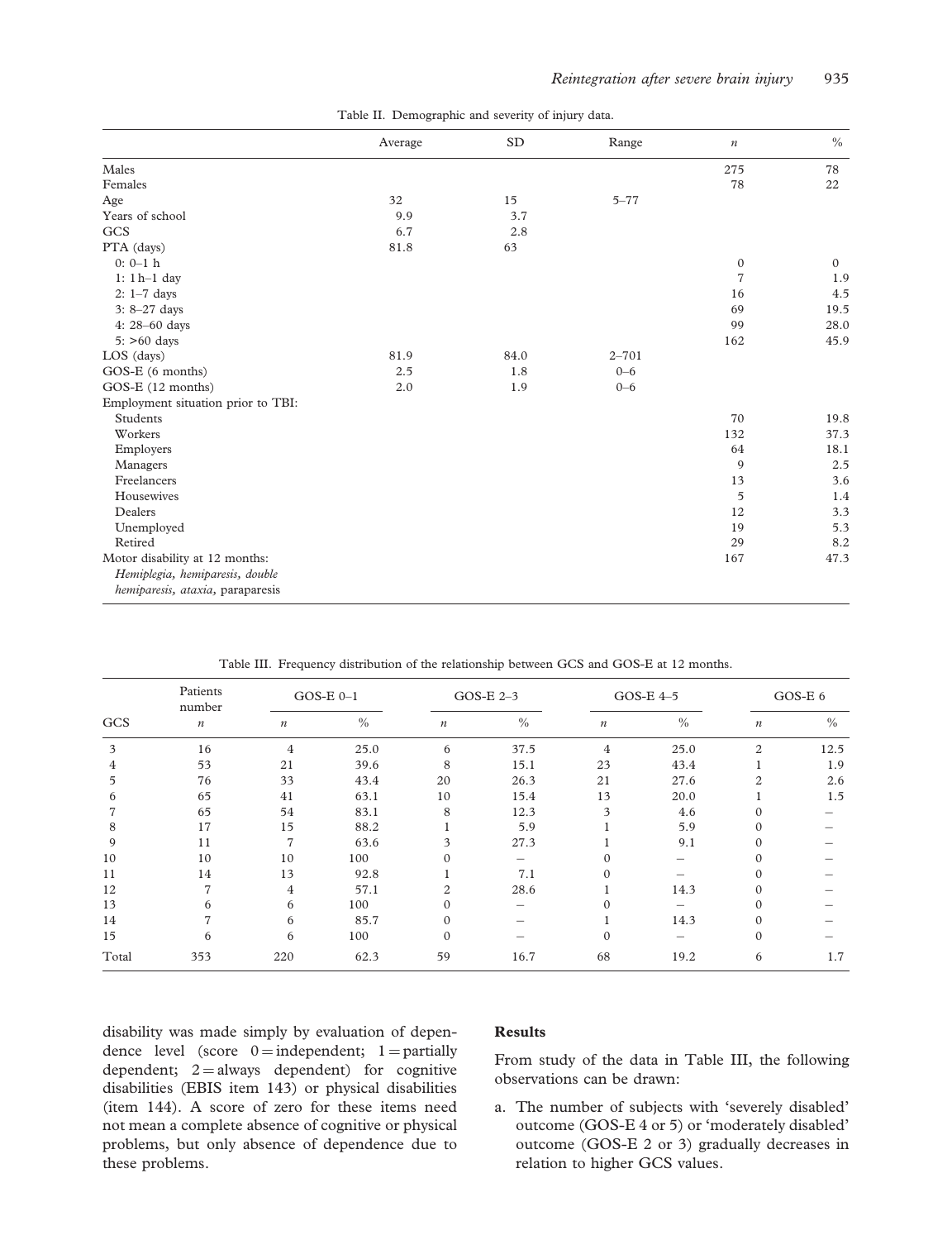|                                    | Average | SD   | Range     | $\boldsymbol{n}$ | $\%$         |
|------------------------------------|---------|------|-----------|------------------|--------------|
| Males                              |         |      |           | 275              | 78           |
| Females                            |         |      |           | 78               | 22           |
| Age                                | 32      | 15   | $5 - 77$  |                  |              |
| Years of school                    | 9.9     | 3.7  |           |                  |              |
| GCS                                | 6.7     | 2.8  |           |                  |              |
| PTA (days)                         | 81.8    | 63   |           |                  |              |
| $0: 0-1$ h                         |         |      |           | $\boldsymbol{0}$ | $\mathbf{0}$ |
| $1: 1 h-1$ day                     |         |      |           | $\overline{7}$   | 1.9          |
| $2: 1-7$ days                      |         |      |           | 16               | 4.5          |
| $3: 8-27$ days                     |         |      |           | 69               | 19.5         |
| 4: 28-60 days                      |         |      |           | 99               | 28.0         |
| $5:$ >60 days                      |         |      |           | 162              | 45.9         |
| LOS (days)                         | 81.9    | 84.0 | $2 - 701$ |                  |              |
| GOS-E (6 months)                   | 2.5     | 1.8  | $0 - 6$   |                  |              |
| GOS-E (12 months)                  | 2.0     | 1.9  | $0 - 6$   |                  |              |
| Employment situation prior to TBI: |         |      |           |                  |              |
| Students                           |         |      |           | 70               | 19.8         |
| Workers                            |         |      |           | 132              | 37.3         |
| Employers                          |         |      |           | 64               | 18.1         |
| Managers                           |         |      |           | 9                | 2.5          |
| Freelancers                        |         |      |           | 13               | 3.6          |
| Housewives                         |         |      |           | 5                | 1.4          |
| Dealers                            |         |      |           | 12               | 3.3          |
| Unemployed                         |         |      |           | 19               | 5.3          |
| Retired                            |         |      |           | 29               | 8.2          |
| Motor disability at 12 months:     |         |      |           | 167              | 47.3         |
| Hemiplegia, hemiparesis, double    |         |      |           |                  |              |
| hemiparesis, ataxia, paraparesis   |         |      |           |                  |              |

Table II. Demographic and severity of injury data.

Table III. Frequency distribution of the relationship between GCS and GOS-E at 12 months.

| Patients<br>number |                  |                  | $GOS-E$ $0-1$ |                  | GOS-E $2-3$ |                  | GOS-E $4-5$ |                  | GOS-E 6 |  |
|--------------------|------------------|------------------|---------------|------------------|-------------|------------------|-------------|------------------|---------|--|
| GCS                | $\boldsymbol{n}$ | $\boldsymbol{n}$ | $\%$          | $\boldsymbol{n}$ | $\%$        | $\boldsymbol{n}$ | $\%$        | $\boldsymbol{n}$ | $\%$    |  |
| 3                  | 16               | 4                | 25.0          | 6                | 37.5        | $\overline{4}$   | 25.0        | $\overline{c}$   | 12.5    |  |
| 4                  | 53               | 21               | 39.6          | 8                | 15.1        | 23               | 43.4        |                  | 1.9     |  |
| 5                  | 76               | 33               | 43.4          | 20               | 26.3        | 21               | 27.6        | 2                | 2.6     |  |
| 6                  | 65               | 41               | 63.1          | 10               | 15.4        | 13               | 20.0        |                  | 1.5     |  |
|                    | 65               | 54               | 83.1          | 8                | 12.3        | 3                | 4.6         |                  |         |  |
| 8                  | 17               | 15               | 88.2          |                  | 5.9         |                  | 5.9         |                  |         |  |
| 9                  | 11               | 7                | 63.6          | 3                | 27.3        |                  | 9.1         |                  |         |  |
| 10                 | 10               | 10               | 100           |                  |             |                  |             |                  |         |  |
| 11                 | 14               | 13               | 92.8          |                  | 7.1         | $\Omega$         |             |                  |         |  |
| 12                 | 7                | 4                | 57.1          | $\mathfrak{D}$   | 28.6        |                  | 14.3        |                  |         |  |
| 13                 | 6                | 6                | 100           | 0                |             |                  |             |                  |         |  |
| 14                 | 7                | 6                | 85.7          | $\Omega$         |             |                  | 14.3        |                  |         |  |
| 15                 | 6                | 6                | 100           | $\Omega$         |             | $\Omega$         |             | $\Omega$         |         |  |
| Total              | 353              | 220              | 62.3          | 59               | 16.7        | 68               | 19.2        | 6                | 1.7     |  |

disability was made simply by evaluation of dependence level (score  $0 =$  independent; 1 = partially dependent;  $2 =$  always dependent) for cognitive disabilities (EBIS item 143) or physical disabilities (item 144). A score of zero for these items need not mean a complete absence of cognitive or physical problems, but only absence of dependence due to these problems.

#### Results

From study of the data in Table III, the following observations can be drawn:

a. The number of subjects with 'severely disabled' outcome (GOS-E 4 or 5) or 'moderately disabled' outcome (GOS-E 2 or 3) gradually decreases in relation to higher GCS values.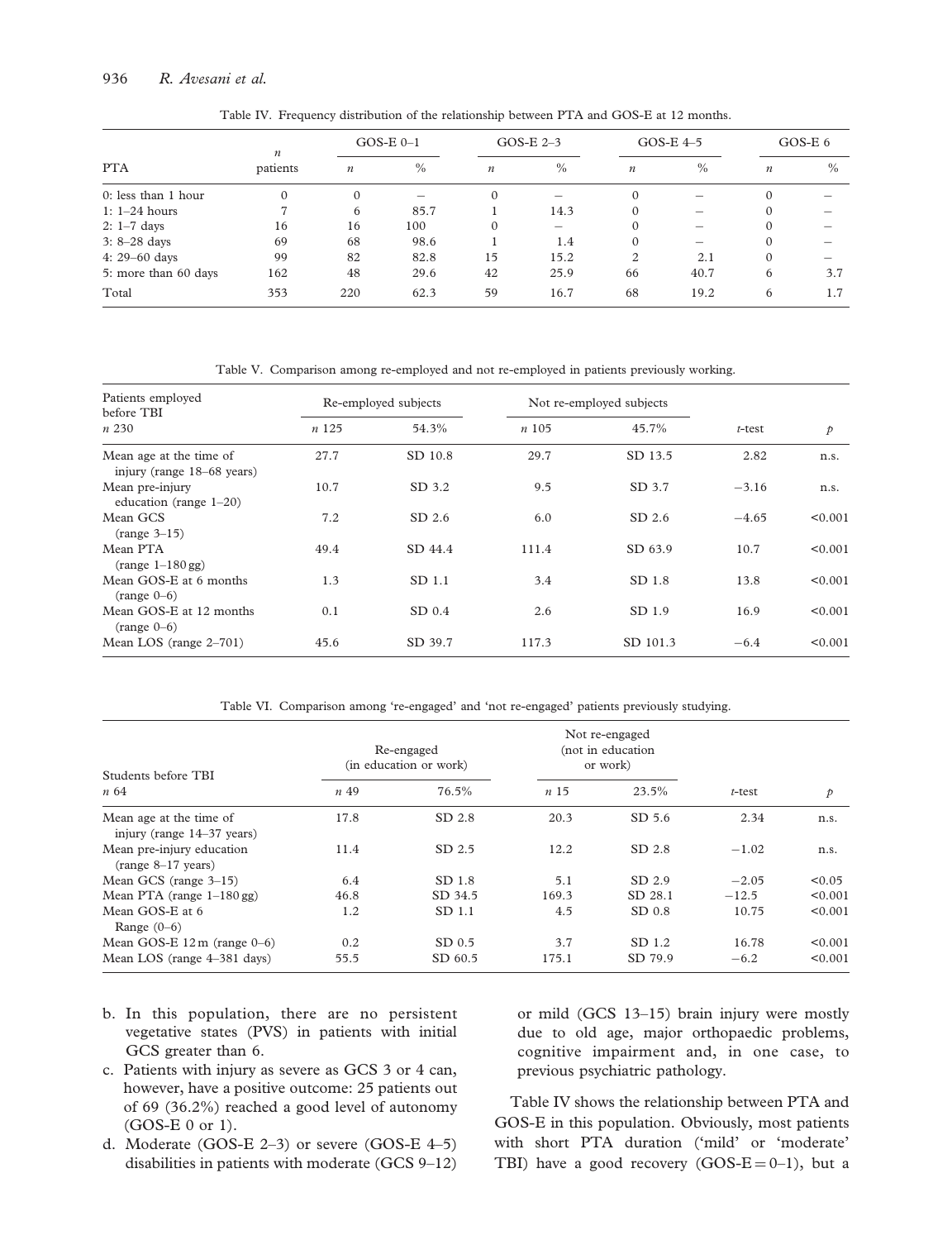#### 936 R. Avesani et al.

| Table IV. Frequency distribution of the relationship between PTA and GOS-E at 12 months. |  |  |
|------------------------------------------------------------------------------------------|--|--|
|------------------------------------------------------------------------------------------|--|--|

|                      | $\boldsymbol{n}$ | $GOS-E$ $0-1$    |      | GOS-E $2-3$      |      | GOS-E $4-5$      |      | GOS-E $6$        |      |
|----------------------|------------------|------------------|------|------------------|------|------------------|------|------------------|------|
| <b>PTA</b>           | patients         | $\boldsymbol{n}$ | $\%$ | $\boldsymbol{n}$ | $\%$ | $\boldsymbol{n}$ | $\%$ | $\boldsymbol{n}$ | $\%$ |
| 0: less than 1 hour  | $\mathbf{0}$     | $\Omega$         |      | $\Omega$         |      | $\Omega$         |      | $\Omega$         |      |
| $1: 1-24$ hours      | 7                | 6                | 85.7 |                  | 14.3 | $\Omega$         |      | $\Omega$         |      |
| $2: 1-7$ days        | 16               | 16               | 100  | $\Omega$         |      | $\Omega$         |      |                  |      |
| $3: 8-28$ days       | 69               | 68               | 98.6 |                  | 1.4  | $\Omega$         |      | $\Omega$         |      |
| 4: $29 - 60$ days    | 99               | 82               | 82.8 | 15               | 15.2 | 2                | 2.1  | $\Omega$         |      |
| 5: more than 60 days | 162              | 48               | 29.6 | 42               | 25.9 | 66               | 40.7 | 6                | 3.7  |
| Total                | 353              | 220              | 62.3 | 59               | 16.7 | 68               | 19.2 | 6                | 1.7  |

Table V. Comparison among re-employed and not re-employed in patients previously working.

| Patients employed<br>before TBI                       | Re-employed subjects |          |       | Not re-employed subjects |           |               |
|-------------------------------------------------------|----------------------|----------|-------|--------------------------|-----------|---------------|
| n 230                                                 | n125                 | 54.3%    | n105  | 45.7%                    | $t$ -test | $\mathcal{P}$ |
| Mean age at the time of<br>injury (range 18–68 years) | 27.7                 | SD 10.8  | 29.7  | SD 13.5                  | 2.82      | n.s.          |
| Mean pre-injury<br>education (range $1-20$ )          | 10.7                 | SD 3.2   | 9.5   | SD 3.7                   | $-3.16$   | n.s.          |
| Mean GCS<br>$(range 3-15)$                            | 7.2                  | $SD$ 2.6 | 6.0   | $SD$ 2.6                 | $-4.65$   | < 0.001       |
| Mean PTA<br>$(range 1-180 gg)$                        | 49.4                 | SD 44.4  | 111.4 | SD 63.9                  | 10.7      | < 0.001       |
| Mean GOS-E at 6 months<br>$(range 0-6)$               | 1.3                  | SD 1.1   | 3.4   | SD 1.8                   | 13.8      | < 0.001       |
| Mean GOS-E at 12 months<br>$(range 0-6)$              | 0.1                  | SD 0.4   | 2.6   | SD 1.9                   | 16.9      | < 0.001       |
| Mean LOS (range $2-701$ )                             | 45.6                 | SD 39.7  | 117.3 | SD 101.3                 | $-6.4$    | < 0.001       |

Table VI. Comparison among 're-engaged' and 'not re-engaged' patients previously studying.

| Students before TBI                                   | Re-engaged<br>(in education or work) |                   |                 | Not re-engaged<br>(not in education<br>or work) |           |         |
|-------------------------------------------------------|--------------------------------------|-------------------|-----------------|-------------------------------------------------|-----------|---------|
| $n\,64$                                               | <i>n</i> 49                          | 76.5%             | n <sub>15</sub> | 23.5%                                           | $t$ -test | p       |
| Mean age at the time of<br>injury (range 14–37 years) | 17.8                                 | SD 2.8            | 20.3            | $SD$ 5.6                                        | 2.34      | n.s.    |
| Mean pre-injury education<br>$(range 8-17 years)$     | 11.4                                 | SD 2.5            | 12.2            | SD 2.8                                          | $-1.02$   | n.s.    |
| Mean GCS (range $3-15$ )                              | 6.4                                  | SD 1.8            | 5.1             | SD 2.9                                          | $-2.05$   | < 0.05  |
| Mean PTA (range $1-180$ gg)                           | 46.8                                 | SD 34.5           | 169.3           | SD 28.1                                         | $-12.5$   | < 0.001 |
| Mean GOS-E at 6<br>Range $(0-6)$                      | 1.2                                  | SD 1.1            | 4.5             | $SD$ 0.8                                        | 10.75     | < 0.001 |
| Mean GOS-E $12 \text{ m}$ (range $0-6$ )              | 0.2                                  | SD <sub>0.5</sub> | 3.7             | SD 1.2                                          | 16.78     | < 0.001 |
| Mean LOS (range 4–381 days)                           | 55.5                                 | SD 60.5           | 175.1           | SD 79.9                                         | $-6.2$    | < 0.001 |

- b. In this population, there are no persistent vegetative states (PVS) in patients with initial GCS greater than 6.
- c. Patients with injury as severe as GCS 3 or 4 can, however, have a positive outcome: 25 patients out of 69 (36.2%) reached a good level of autonomy (GOS-E 0 or 1).
- d. Moderate (GOS-E 2–3) or severe (GOS-E 4–5) disabilities in patients with moderate (GCS 9–12)

or mild (GCS 13–15) brain injury were mostly due to old age, major orthopaedic problems, cognitive impairment and, in one case, to previous psychiatric pathology.

Table IV shows the relationship between PTA and GOS-E in this population. Obviously, most patients with short PTA duration ('mild' or 'moderate' TBI) have a good recovery (GOS- $E = 0-1$ ), but a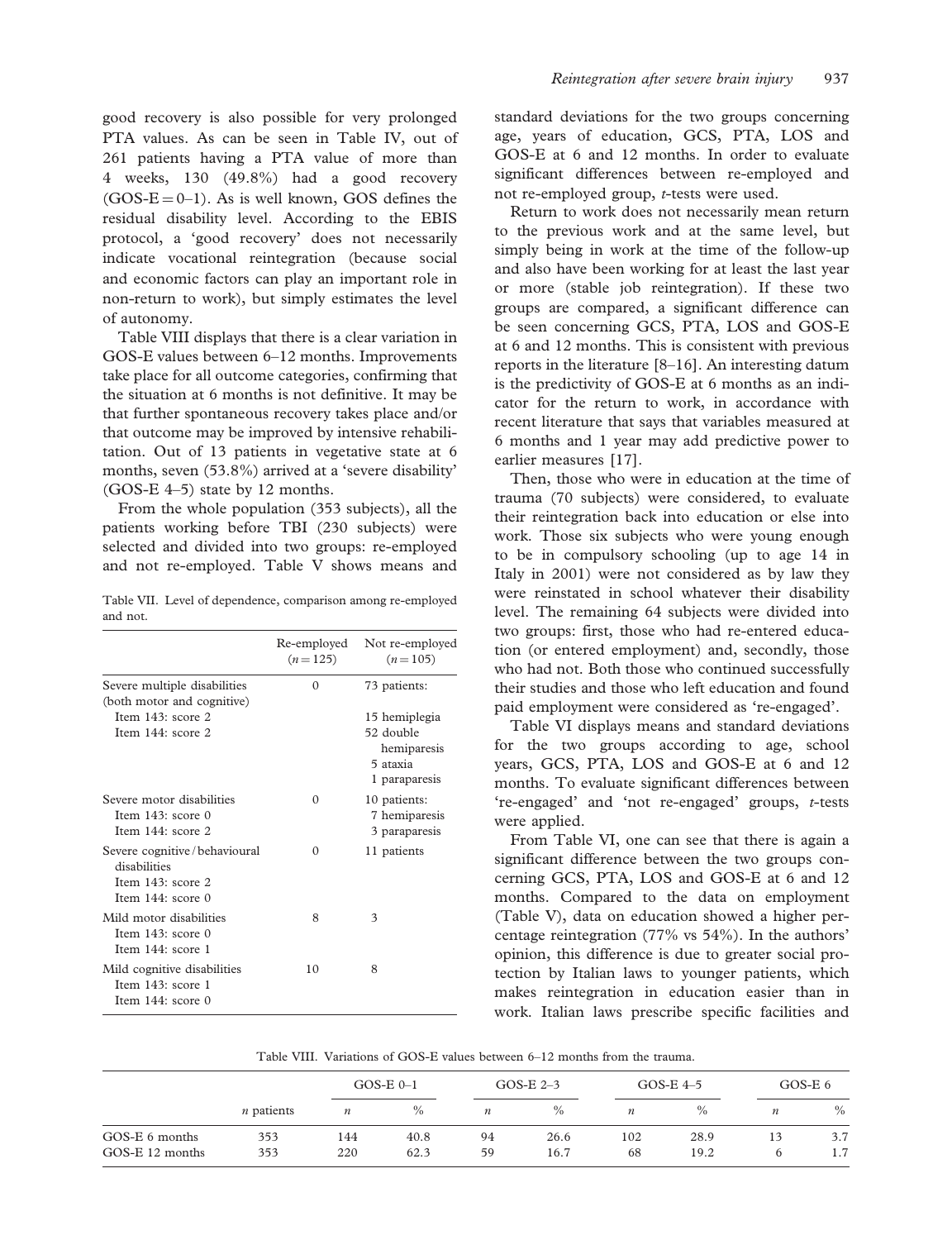good recovery is also possible for very prolonged PTA values. As can be seen in Table IV, out of 261 patients having a PTA value of more than 4 weeks, 130 (49.8%) had a good recovery  $(GOS-E = 0-1)$ . As is well known, GOS defines the residual disability level. According to the EBIS protocol, a 'good recovery' does not necessarily indicate vocational reintegration (because social and economic factors can play an important role in non-return to work), but simply estimates the level of autonomy.

Table VIII displays that there is a clear variation in GOS-E values between 6–12 months. Improvements take place for all outcome categories, confirming that the situation at 6 months is not definitive. It may be that further spontaneous recovery takes place and/or that outcome may be improved by intensive rehabilitation. Out of 13 patients in vegetative state at 6 months, seven (53.8%) arrived at a 'severe disability' (GOS-E 4–5) state by 12 months.

From the whole population (353 subjects), all the patients working before TBI (230 subjects) were selected and divided into two groups: re-employed and not re-employed. Table V shows means and

Table VII. Level of dependence, comparison among re-employed and not.

|                                                                                               | Re-employed<br>$(n=125)$ | Not re-employed<br>$(n=105)$                                           |
|-----------------------------------------------------------------------------------------------|--------------------------|------------------------------------------------------------------------|
| Severe multiple disabilities<br>(both motor and cognitive)                                    | $\Omega$                 | 73 patients:                                                           |
| Item $143$ : score 2<br>Item 144: score 2                                                     |                          | 15 hemiplegia<br>52 double<br>hemiparesis<br>5 ataxia<br>1 paraparesis |
| Severe motor disabilities<br>Item $143$ : score 0<br>Item $144:$ score 2                      | 0                        | 10 patients:<br>7 hemiparesis<br>3 paraparesis                         |
| Severe cognitive / behavioural<br>disabilities<br>Item $143$ : score 2<br>Item $144:$ score 0 | 0                        | 11 patients                                                            |
| Mild motor disabilities<br>Item $143$ : score 0<br>Item 144: score 1                          | 8                        | 3                                                                      |
| Mild cognitive disabilities<br>Item $143$ : score 1<br>Item $144$ : score 0                   | 10                       | 8                                                                      |

standard deviations for the two groups concerning age, years of education, GCS, PTA, LOS and GOS-E at 6 and 12 months. In order to evaluate significant differences between re-employed and not re-employed group, t-tests were used.

Return to work does not necessarily mean return to the previous work and at the same level, but simply being in work at the time of the follow-up and also have been working for at least the last year or more (stable job reintegration). If these two groups are compared, a significant difference can be seen concerning GCS, PTA, LOS and GOS-E at 6 and 12 months. This is consistent with previous reports in the literature [8–16]. An interesting datum is the predictivity of GOS-E at 6 months as an indicator for the return to work, in accordance with recent literature that says that variables measured at 6 months and 1 year may add predictive power to earlier measures [17].

Then, those who were in education at the time of trauma (70 subjects) were considered, to evaluate their reintegration back into education or else into work. Those six subjects who were young enough to be in compulsory schooling (up to age 14 in Italy in 2001) were not considered as by law they were reinstated in school whatever their disability level. The remaining 64 subjects were divided into two groups: first, those who had re-entered education (or entered employment) and, secondly, those who had not. Both those who continued successfully their studies and those who left education and found paid employment were considered as 're-engaged'.

Table VI displays means and standard deviations for the two groups according to age, school years, GCS, PTA, LOS and GOS-E at 6 and 12 months. To evaluate significant differences between 're-engaged' and 'not re-engaged' groups, t-tests were applied.

From Table VI, one can see that there is again a significant difference between the two groups concerning GCS, PTA, LOS and GOS-E at 6 and 12 months. Compared to the data on employment (Table V), data on education showed a higher percentage reintegration (77% vs 54%). In the authors' opinion, this difference is due to greater social protection by Italian laws to younger patients, which makes reintegration in education easier than in work. Italian laws prescribe specific facilities and

| Table VIII. Variations of GOS-E values between 6–12 months from the trauma. |  |
|-----------------------------------------------------------------------------|--|
|-----------------------------------------------------------------------------|--|

|                 |                   |                  | GOS-E $0-1$ |                  | GOS-E $2-3$ |                  | GOS-E $4-5$ |                  | GOS-E $6$ |
|-----------------|-------------------|------------------|-------------|------------------|-------------|------------------|-------------|------------------|-----------|
|                 | <i>n</i> patients | $\boldsymbol{n}$ | $\%$        | $\boldsymbol{n}$ | $\%$        | $\boldsymbol{n}$ | $\%$        | $\boldsymbol{n}$ | $\%$      |
| GOS-E 6 months  | 353               | 144              | 40.8        | 94               | 26.6        | 102              | 28.9        |                  | 3.7       |
| GOS-E 12 months | 353               | 220              | 62.3        | 59               | 16.7        | 68               | 19.2        |                  | 1.7       |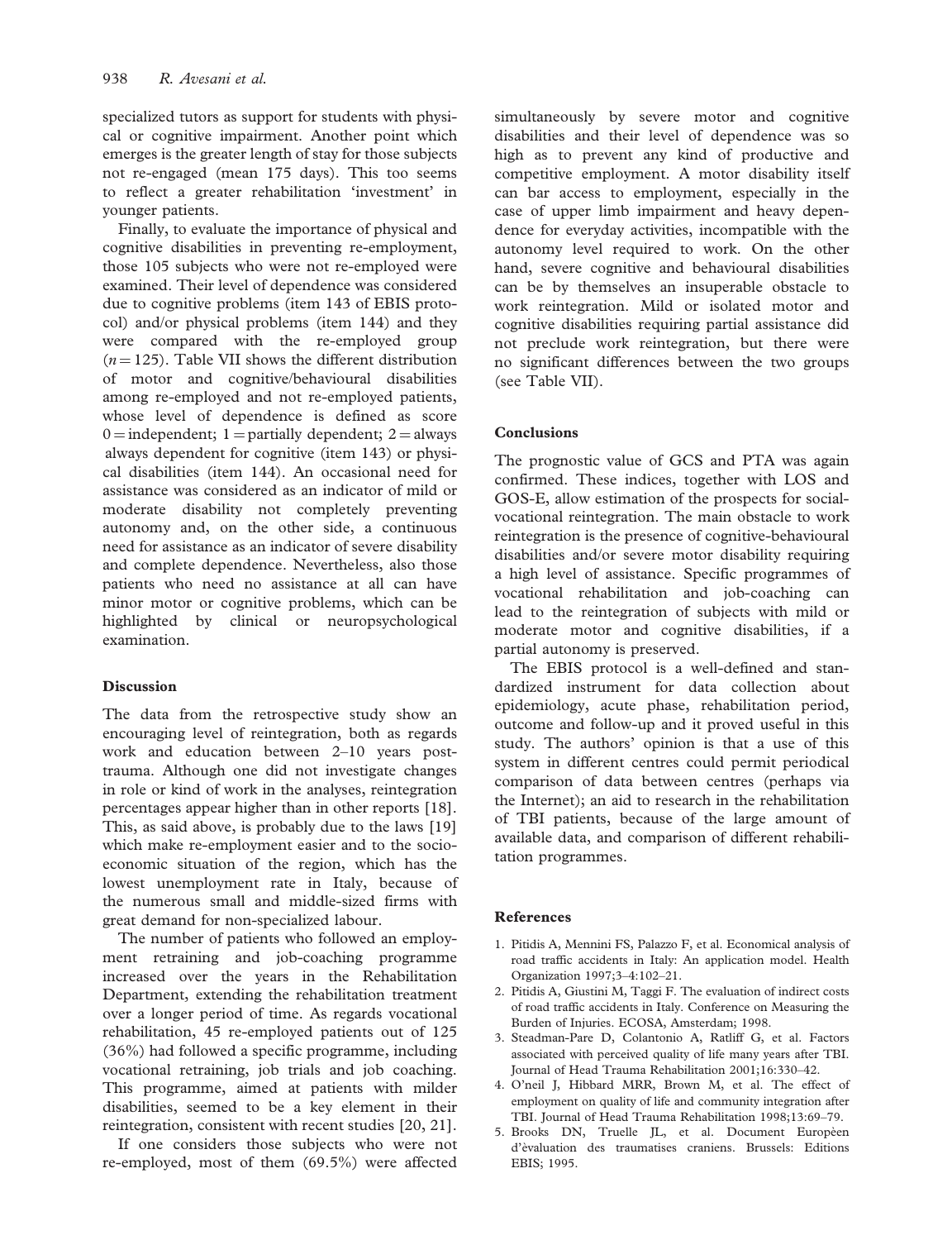specialized tutors as support for students with physical or cognitive impairment. Another point which emerges is the greater length of stay for those subjects not re-engaged (mean 175 days). This too seems to reflect a greater rehabilitation 'investment' in younger patients.

Finally, to evaluate the importance of physical and cognitive disabilities in preventing re-employment, those 105 subjects who were not re-employed were examined. Their level of dependence was considered due to cognitive problems (item 143 of EBIS protocol) and/or physical problems (item 144) and they were compared with the re-employed group  $(n = 125)$ . Table VII shows the different distribution of motor and cognitive/behavioural disabilities among re-employed and not re-employed patients, whose level of dependence is defined as score  $0 =$  independent; 1 = partially dependent; 2 = always always dependent for cognitive (item 143) or physical disabilities (item 144). An occasional need for assistance was considered as an indicator of mild or moderate disability not completely preventing autonomy and, on the other side, a continuous need for assistance as an indicator of severe disability and complete dependence. Nevertheless, also those patients who need no assistance at all can have minor motor or cognitive problems, which can be highlighted by clinical or neuropsychological examination.

#### **Discussion**

The data from the retrospective study show an encouraging level of reintegration, both as regards work and education between 2–10 years posttrauma. Although one did not investigate changes in role or kind of work in the analyses, reintegration percentages appear higher than in other reports [18]. This, as said above, is probably due to the laws [19] which make re-employment easier and to the socioeconomic situation of the region, which has the lowest unemployment rate in Italy, because of the numerous small and middle-sized firms with great demand for non-specialized labour.

The number of patients who followed an employment retraining and job-coaching programme increased over the years in the Rehabilitation Department, extending the rehabilitation treatment over a longer period of time. As regards vocational rehabilitation, 45 re-employed patients out of 125 (36%) had followed a specific programme, including vocational retraining, job trials and job coaching. This programme, aimed at patients with milder disabilities, seemed to be a key element in their reintegration, consistent with recent studies [20, 21].

If one considers those subjects who were not re-employed, most of them (69.5%) were affected

simultaneously by severe motor and cognitive disabilities and their level of dependence was so high as to prevent any kind of productive and competitive employment. A motor disability itself can bar access to employment, especially in the case of upper limb impairment and heavy dependence for everyday activities, incompatible with the autonomy level required to work. On the other hand, severe cognitive and behavioural disabilities can be by themselves an insuperable obstacle to work reintegration. Mild or isolated motor and cognitive disabilities requiring partial assistance did not preclude work reintegration, but there were no significant differences between the two groups (see Table VII).

#### Conclusions

The prognostic value of GCS and PTA was again confirmed. These indices, together with LOS and GOS-E, allow estimation of the prospects for socialvocational reintegration. The main obstacle to work reintegration is the presence of cognitive-behavioural disabilities and/or severe motor disability requiring a high level of assistance. Specific programmes of vocational rehabilitation and job-coaching can lead to the reintegration of subjects with mild or moderate motor and cognitive disabilities, if a partial autonomy is preserved.

The EBIS protocol is a well-defined and standardized instrument for data collection about epidemiology, acute phase, rehabilitation period, outcome and follow-up and it proved useful in this study. The authors' opinion is that a use of this system in different centres could permit periodical comparison of data between centres (perhaps via the Internet); an aid to research in the rehabilitation of TBI patients, because of the large amount of available data, and comparison of different rehabilitation programmes.

#### References

- 1. Pitidis A, Mennini FS, Palazzo F, et al. Economical analysis of road traffic accidents in Italy: An application model. Health Organization 1997;3–4:102–21.
- 2. Pitidis A, Giustini M, Taggi F. The evaluation of indirect costs of road traffic accidents in Italy. Conference on Measuring the Burden of Injuries. ECOSA, Amsterdam; 1998.
- 3. Steadman-Pare D, Colantonio A, Ratliff G, et al. Factors associated with perceived quality of life many years after TBI. Journal of Head Trauma Rehabilitation 2001;16:330–42.
- 4. O'neil J, Hibbard MRR, Brown M, et al. The effect of employment on quality of life and community integration after TBI. Journal of Head Trauma Rehabilitation 1998;13:69–79.
- 5. Brooks DN, Truelle JL, et al. Document Europèen d'e`valuation des traumatises craniens. Brussels: Editions EBIS; 1995.